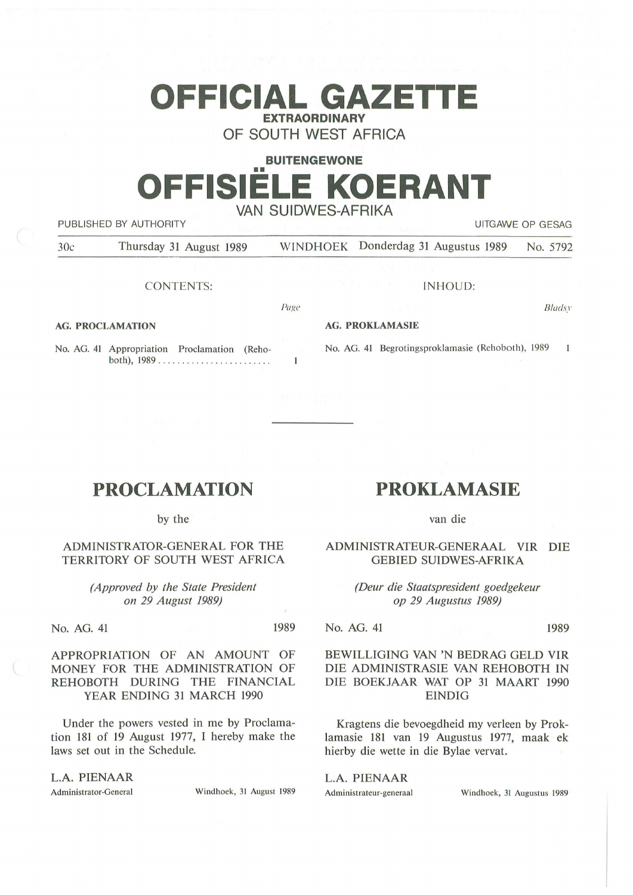# **OFFICIAL GAZETTE EXTRAORDINARY**

OF SOUTH WEST AFRICA

# **BUITENGEWONE**  •• **OFFISIELE KOERANT**  VAN SUIDWES-AFRIKA

PUBLISHED BY AUTHORITY **EXECUTE A SECURE 2018 THE SECULIAR SECURE 2019 THE SECURE 2019 THE SECURE 2019 THE SECURE 2019** 

30c Thursday 31 August 1989 WINDHOEK Donderdag 31 Augustus 1989 No. 5792

CONTENTS:

INHOUD:

*Bladsv* 

**AG. PROCLAMATION** 

Page

#### **AG. PROKLAMASIE**

No. AG. 41 Appropriation Proclamation (Reho-No. AG. 41 Begrotingsproklamasie (Rehoboth), 1989  $\overline{1}$ both), 1989 ............ . .......... .  $\mathbf{1}$ 

# **PROCLAMATION**

by the

## ADMINISTRATOR-GENERAL FOR THE TERRITORY OF SOUTH WEST AFRICA

*(Approved by the State President on 29 August 1989)* 

No. AG. 41 1989

APPROPRIATION OF AN AMOUNT OF MONEY FOR THE ADMINISTRATION OF REHOBOTH DURING THE FINANCIAL YEAR ENDING 31 MARCH 1990

Under the powers vested in me by Proclamation 181 of 19 August 1977, I hereby make the laws set out in the Schedule.

**L.A. PIENAAR** 

Administrator-General Windhoek, 31 August 1989

# **PROKLAMASIE**

van die

ADMINISTRATEUR-GENERAAL VIR DIE GEBIED SUIDWES-AFRIKA

> *(Deur die Staatspresident goedgekeur op 29 Augustus 1989)*

No. AG. 41 1989

# BEWILLIGING VAN 'N BEDRAG GELD VIR DIE ADMINISTRASIE VAN REHOBOTH IN DIE BOEKJAAR WAT OP 31 MAART 1990 EINDIG

Kragtens die bevoegdheid my verleen by Proklamasie 181 van 19 Augustus 1977, maak ek hierby die wette in die Bylae vervat.

L.A. PIENAAR

Administrateur-generaal Windhoek, 31 Augustus 1989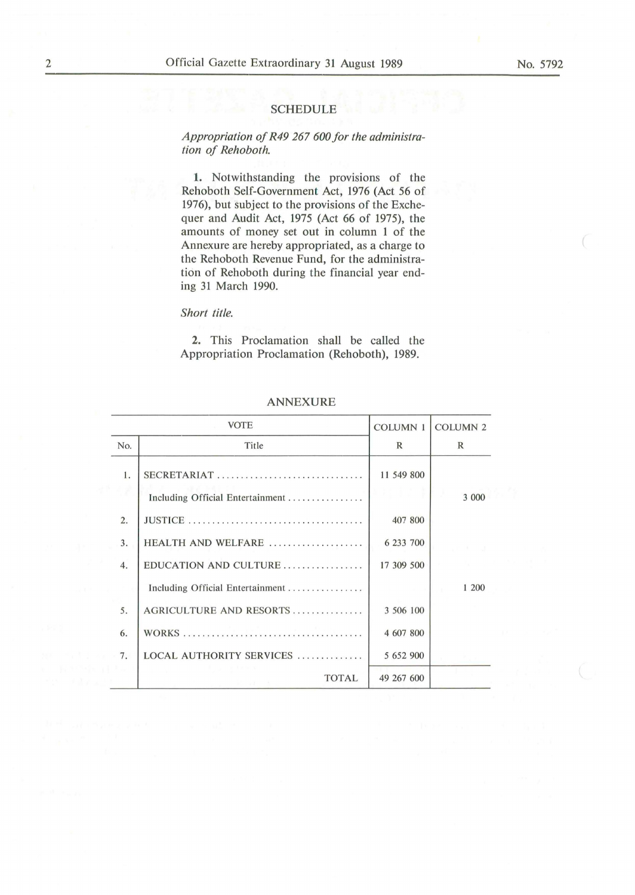#### SCHEDULE

# *Appropriation of R49 267 600 for the administration of Rehoboth.*

1. Notwithstanding the provisions of the Rehoboth Self-Government Act, 1976 (Act *56* of 1976), but subject to the provisions of the Exchequer and Audit Act, 1975 (Act 66 of 1975), the amounts of money set out in column 1 of the Annexure are hereby appropriated, as a charge to the Rehoboth Revenue Fund, for the administration of Rehoboth during the financial year ending 31 March 1990.

### *Short title.*

**2.** This Proclamation shall be called the Appropriation Proclamation (Rehoboth), 1989.

|                  | <b>VOTE</b>                                     | <b>COLUMN 1</b> | <b>COLUMN 2</b> |
|------------------|-------------------------------------------------|-----------------|-----------------|
| No.              | Title                                           | $\mathbb{R}$    | $\mathbb{R}$    |
| 1.               | SECRETARIAT<br>Including Official Entertainment | 11 549 800      | 3 000           |
| $\overline{2}$ . |                                                 | 407 800         |                 |
| 3.               | HEALTH AND WELFARE                              | 6 233 700       |                 |
| 4.               | EDUCATION AND CULTURE                           | 17 309 500      |                 |
|                  | Including Official Entertainment                |                 | 1 200           |
| 5.               | AGRICULTURE AND RESORTS                         | 3 506 100       |                 |
| 6.               |                                                 | 4 607 800       |                 |
| 7.               | LOCAL AUTHORITY SERVICES                        | 5 652 900       |                 |
|                  | <b>TOTAL</b>                                    | 49 267 600      |                 |

### **ANNEXURE**